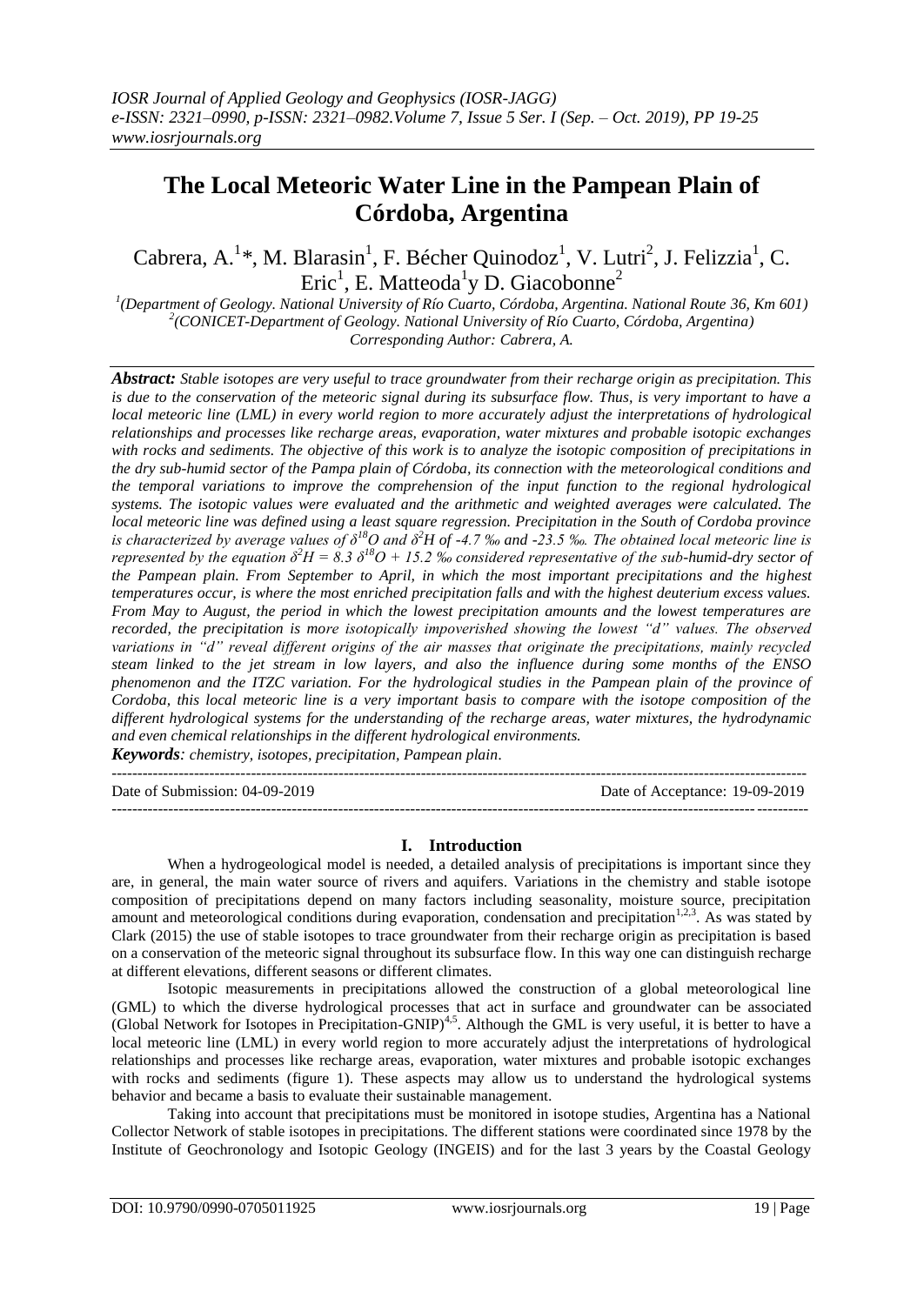# **The Local Meteoric Water Line in the Pampean Plain of Córdoba, Argentina**

Cabrera, A.<sup>1</sup>\*, M. Blarasin<sup>1</sup>, F. Bécher Quinodoz<sup>1</sup>, V. Lutri<sup>2</sup>, J. Felizzia<sup>1</sup>, C. Eric<sup>1</sup>, E. Matteoda<sup>1</sup>y D. Giacobonne<sup>2</sup>

*1 (Department of Geology. National University of Río Cuarto, Córdoba, Argentina. National Route 36, Km 601) 2 (CONICET-Department of Geology. National University of Río Cuarto, Córdoba, Argentina) Corresponding Author: Cabrera, A.*

*Abstract: Stable isotopes are very useful to trace groundwater from their recharge origin as precipitation. This is due to the conservation of the meteoric signal during its subsurface flow. Thus, is very important to have a local meteoric line (LML) in every world region to more accurately adjust the interpretations of hydrological relationships and processes like recharge areas, evaporation, water mixtures and probable isotopic exchanges with rocks and sediments. The objective of this work is to analyze the isotopic composition of precipitations in the dry sub-humid sector of the Pampa plain of Córdoba, its connection with the meteorological conditions and the temporal variations to improve the comprehension of the input function to the regional hydrological systems. The isotopic values were evaluated and the arithmetic and weighted averages were calculated. The local meteoric line was defined using a least square regression. Precipitation in the South of Cordoba province is characterized by average values of δ<sup>18</sup>O and δ<sup>2</sup>H of -4.7 ‰ and -23.5 ‰. The obtained local meteoric line is represented by the equation*  $\delta^2 H = 8.3 \delta^{18} O + 15.2$  *% considered representative of the sub-humid-dry sector of the Pampean plain. From September to April, in which the most important precipitations and the highest temperatures occur, is where the most enriched precipitation falls and with the highest deuterium excess values. From May to August, the period in which the lowest precipitation amounts and the lowest temperatures are recorded, the precipitation is more isotopically impoverished showing the lowest "d" values. The observed variations in "d" reveal different origins of the air masses that originate the precipitations, mainly recycled steam linked to the jet stream in low layers, and also the influence during some months of the ENSO phenomenon and the ITZC variation. For the hydrological studies in the Pampean plain of the province of Cordoba, this local meteoric line is a very important basis to compare with the isotope composition of the different hydrological systems for the understanding of the recharge areas, water mixtures, the hydrodynamic and even chemical relationships in the different hydrological environments. Keywords: chemistry, isotopes, precipitation, Pampean plain.*

--------------------------------------------------------------------------------------------------------------------------------------- Date of Submission: 04-09-2019 Date of Acceptance: 19-09-2019 ---------------------------------------------------------------------------------------------------------------------------------------

## **I. Introduction**

When a hydrogeological model is needed, a detailed analysis of precipitations is important since they are, in general, the main water source of rivers and aquifers. Variations in the chemistry and stable isotope composition of precipitations depend on many factors including seasonality, moisture source, precipitation amount and meteorological conditions during evaporation, condensation and precipitation<sup>1,2,3</sup>. As was stated by Clark (2015) the use of stable isotopes to trace groundwater from their recharge origin as precipitation is based on a conservation of the meteoric signal throughout its subsurface flow. In this way one can distinguish recharge at different elevations, different seasons or different climates.

Isotopic measurements in precipitations allowed the construction of a global meteorological line (GML) to which the diverse hydrological processes that act in surface and groundwater can be associated (Global Network for Isotopes in Precipitation-GNIP)<sup>4,5</sup>. Although the GML is very useful, it is better to have a local meteoric line (LML) in every world region to more accurately adjust the interpretations of hydrological relationships and processes like recharge areas, evaporation, water mixtures and probable isotopic exchanges with rocks and sediments (figure 1). These aspects may allow us to understand the hydrological systems behavior and became a basis to evaluate their sustainable management.

Taking into account that precipitations must be monitored in isotope studies, Argentina has a National Collector Network of stable isotopes in precipitations. The different stations were coordinated since 1978 by the Institute of Geochronology and Isotopic Geology (INGEIS) and for the last 3 years by the Coastal Geology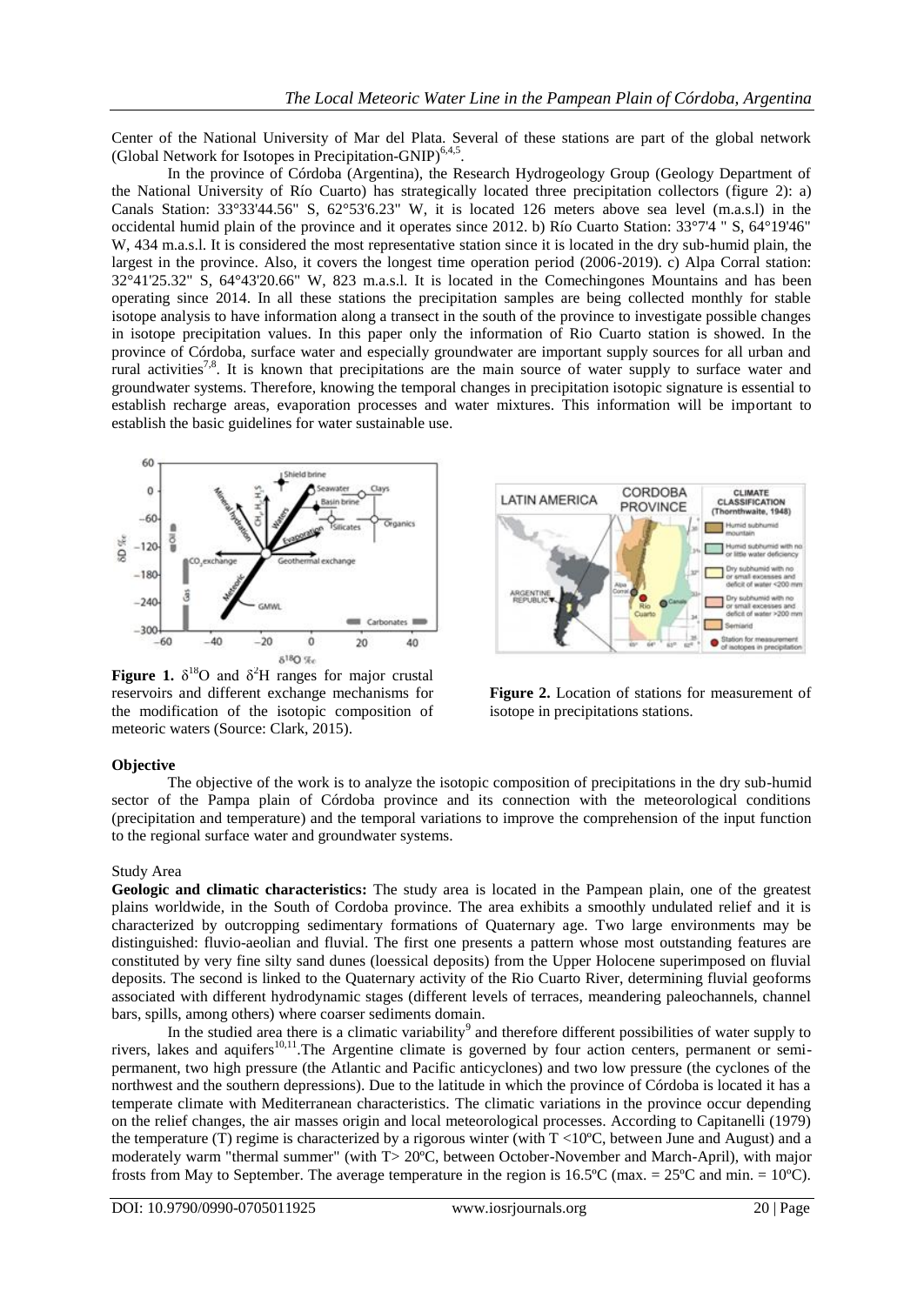**LATIN AMERICA** 

Center of the National University of Mar del Plata. Several of these stations are part of the global network (Global Network for Isotopes in Precipitation-GNIP)<sup>6,4,5</sup> .

In the province of Córdoba (Argentina), the Research Hydrogeology Group (Geology Department of the National University of Río Cuarto) has strategically located three precipitation collectors (figure 2): a) Canals Station: 33°33'44.56" S, 62°53'6.23" W, it is located 126 meters above sea level (m.a.s.l) in the occidental humid plain of the province and it operates since 2012. b) Río Cuarto Station: 33°7'4 " S, 64°19'46" W, 434 m.a.s.l. It is considered the most representative station since it is located in the dry sub-humid plain, the largest in the province. Also, it covers the longest time operation period (2006-2019). c) Alpa Corral station: 32°41'25.32" S, 64°43'20.66" W, 823 m.a.s.l. It is located in the Comechingones Mountains and has been operating since 2014. In all these stations the precipitation samples are being collected monthly for stable isotope analysis to have information along a transect in the south of the province to investigate possible changes in isotope precipitation values. In this paper only the information of Rio Cuarto station is showed. In the province of Córdoba, surface water and especially groundwater are important supply sources for all urban and rural activities<sup>7,8</sup>. It is known that precipitations are the main source of water supply to surface water and groundwater systems. Therefore, knowing the temporal changes in precipitation isotopic signature is essential to establish recharge areas, evaporation processes and water mixtures. This information will be important to establish the basic guidelines for water sustainable use.



PROVINCE  $(T)$ 

CORDOBA

CLIMATE

CLASSIFICATION

**Figure 1.**  $\delta^{18}$ O and  $\delta^2$ H ranges for major crustal reservoirs and different exchange mechanisms for the modification of the isotopic composition of meteoric waters (Source: Clark, 2015).

**Figure 2.** Location of stations for measurement of isotope in precipitations stations.

## **Objective**

The objective of the work is to analyze the isotopic composition of precipitations in the dry sub-humid sector of the Pampa plain of Córdoba province and its connection with the meteorological conditions (precipitation and temperature) and the temporal variations to improve the comprehension of the input function to the regional surface water and groundwater systems.

## Study Area

**Geologic and climatic characteristics:** The study area is located in the Pampean plain, one of the greatest plains worldwide, in the South of Cordoba province. The area exhibits a smoothly undulated relief and it is characterized by outcropping sedimentary formations of Quaternary age. Two large environments may be distinguished: fluvio-aeolian and fluvial. The first one presents a pattern whose most outstanding features are constituted by very fine silty sand dunes (loessical deposits) from the Upper Holocene superimposed on fluvial deposits. The second is linked to the Quaternary activity of the Rio Cuarto River, determining fluvial geoforms associated with different hydrodynamic stages (different levels of terraces, meandering paleochannels, channel bars, spills, among others) where coarser sediments domain.

In the studied area there is a climatic variability<sup>9</sup> and therefore different possibilities of water supply to rivers, lakes and aquifers<sup>10,11</sup>. The Argentine climate is governed by four action centers, permanent or semipermanent, two high pressure (the Atlantic and Pacific anticyclones) and two low pressure (the cyclones of the northwest and the southern depressions). Due to the latitude in which the province of Córdoba is located it has a temperate climate with Mediterranean characteristics. The climatic variations in the province occur depending on the relief changes, the air masses origin and local meteorological processes. According to Capitanelli (1979) the temperature (T) regime is characterized by a rigorous winter (with T <10ºC, between June and August) and a moderately warm "thermal summer" (with T> 20ºC, between October-November and March-April), with major frosts from May to September. The average temperature in the region is 16.5°C (max. =  $25^{\circ}$ C and min. = 10°C).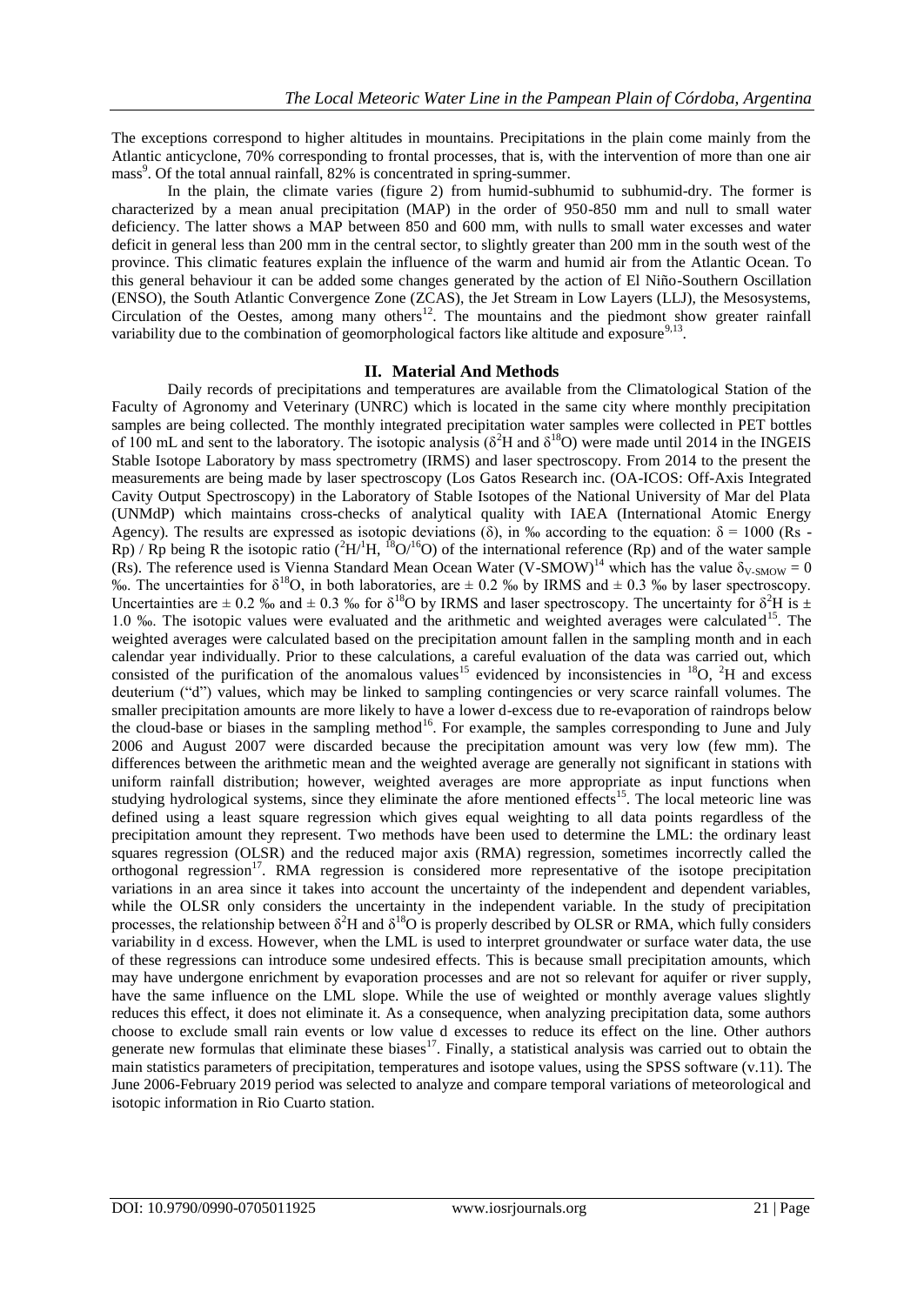The exceptions correspond to higher altitudes in mountains. Precipitations in the plain come mainly from the Atlantic anticyclone, 70% corresponding to frontal processes, that is, with the intervention of more than one air mass<sup>9</sup>. Of the total annual rainfall, 82% is concentrated in spring-summer.

In the plain, the climate varies (figure 2) from humid-subhumid to subhumid-dry. The former is characterized by a mean anual precipitation (MAP) in the order of 950-850 mm and null to small water deficiency. The latter shows a MAP between 850 and 600 mm, with nulls to small water excesses and water deficit in general less than 200 mm in the central sector, to slightly greater than 200 mm in the south west of the province. This climatic features explain the influence of the warm and humid air from the Atlantic Ocean. To this general behaviour it can be added some changes generated by the action of El Niño-Southern Oscillation (ENSO), the South Atlantic Convergence Zone (ZCAS), the Jet Stream in Low Layers (LLJ), the Mesosystems, Circulation of the Oestes, among many others<sup>12</sup>. The mountains and the piedmont show greater rainfall variability due to the combination of geomorphological factors like altitude and exposure<sup>9,13</sup> .

#### **II. Material And Methods**

Daily records of precipitations and temperatures are available from the Climatological Station of the Faculty of Agronomy and Veterinary (UNRC) which is located in the same city where monthly precipitation samples are being collected. The monthly integrated precipitation water samples were collected in PET bottles of 100 mL and sent to the laboratory. The isotopic analysis ( $\delta^2$ H and  $\delta^{18}$ O) were made until 2014 in the INGEIS Stable Isotope Laboratory by mass spectrometry (IRMS) and laser spectroscopy. From 2014 to the present the measurements are being made by laser spectroscopy (Los Gatos Research inc. (OA-ICOS: Off-Axis Integrated Cavity Output Spectroscopy) in the Laboratory of Stable Isotopes of the National University of Mar del Plata (UNMdP) which maintains cross-checks of analytical quality with IAEA (International Atomic Energy Agency). The results are expressed as isotopic deviations ( $\delta$ ), in ‰ according to the equation:  $\delta = 1000$  (Rs -Rp) / Rp being R the isotopic ratio ( ${}^{2}H/{}^{1}H$ ,  ${}^{18}O/{}^{16}O$ ) of the international reference (Rp) and of the water sample (Rs). The reference used is Vienna Standard Mean Ocean Water (V-SMOW)<sup>14</sup> which has the value  $\delta_{V-SMOW} = 0$ %. The uncertainties for  $\delta^{18}O$ , in both laboratories, are  $\pm$  0.2 % by IRMS and  $\pm$  0.3 % by laser spectroscopy. Uncertainties are  $\pm$  0.2 ‰ and  $\pm$  0.3 ‰ for  $\delta^{18}$ O by IRMS and laser spectroscopy. The uncertainty for  $\delta^2$ H is  $\pm$ 1.0  $\%$ . The isotopic values were evaluated and the arithmetic and weighted averages were calculated<sup>15</sup>. The weighted averages were calculated based on the precipitation amount fallen in the sampling month and in each calendar year individually. Prior to these calculations, a careful evaluation of the data was carried out, which consisted of the purification of the anomalous values<sup>15</sup> evidenced by inconsistencies in <sup>18</sup>O, <sup>2</sup>H and excess deuterium ("d") values, which may be linked to sampling contingencies or very scarce rainfall volumes. The smaller precipitation amounts are more likely to have a lower d-excess due to re-evaporation of raindrops below the cloud-base or biases in the sampling method<sup>16</sup>. For example, the samples corresponding to June and July 2006 and August 2007 were discarded because the precipitation amount was very low (few mm). The differences between the arithmetic mean and the weighted average are generally not significant in stations with uniform rainfall distribution; however, weighted averages are more appropriate as input functions when studying hydrological systems, since they eliminate the afore mentioned effects<sup>15</sup>. The local meteoric line was defined using a least square regression which gives equal weighting to all data points regardless of the precipitation amount they represent. Two methods have been used to determine the LML: the ordinary least squares regression (OLSR) and the reduced major axis (RMA) regression, sometimes incorrectly called the orthogonal regression<sup>17</sup>. RMA regression is considered more representative of the isotope precipitation variations in an area since it takes into account the uncertainty of the independent and dependent variables, while the OLSR only considers the uncertainty in the independent variable. In the study of precipitation processes, the relationship between  $\delta^2$ H and  $\delta^{18}$ O is properly described by OLSR or RMA, which fully considers variability in d excess. However, when the LML is used to interpret groundwater or surface water data, the use of these regressions can introduce some undesired effects. This is because small precipitation amounts, which may have undergone enrichment by evaporation processes and are not so relevant for aquifer or river supply, have the same influence on the LML slope. While the use of weighted or monthly average values slightly reduces this effect, it does not eliminate it. As a consequence, when analyzing precipitation data, some authors choose to exclude small rain events or low value d excesses to reduce its effect on the line. Other authors generate new formulas that eliminate these biases $17$ . Finally, a statistical analysis was carried out to obtain the main statistics parameters of precipitation, temperatures and isotope values, using the SPSS software (v.11). The June 2006-February 2019 period was selected to analyze and compare temporal variations of meteorological and isotopic information in Rio Cuarto station.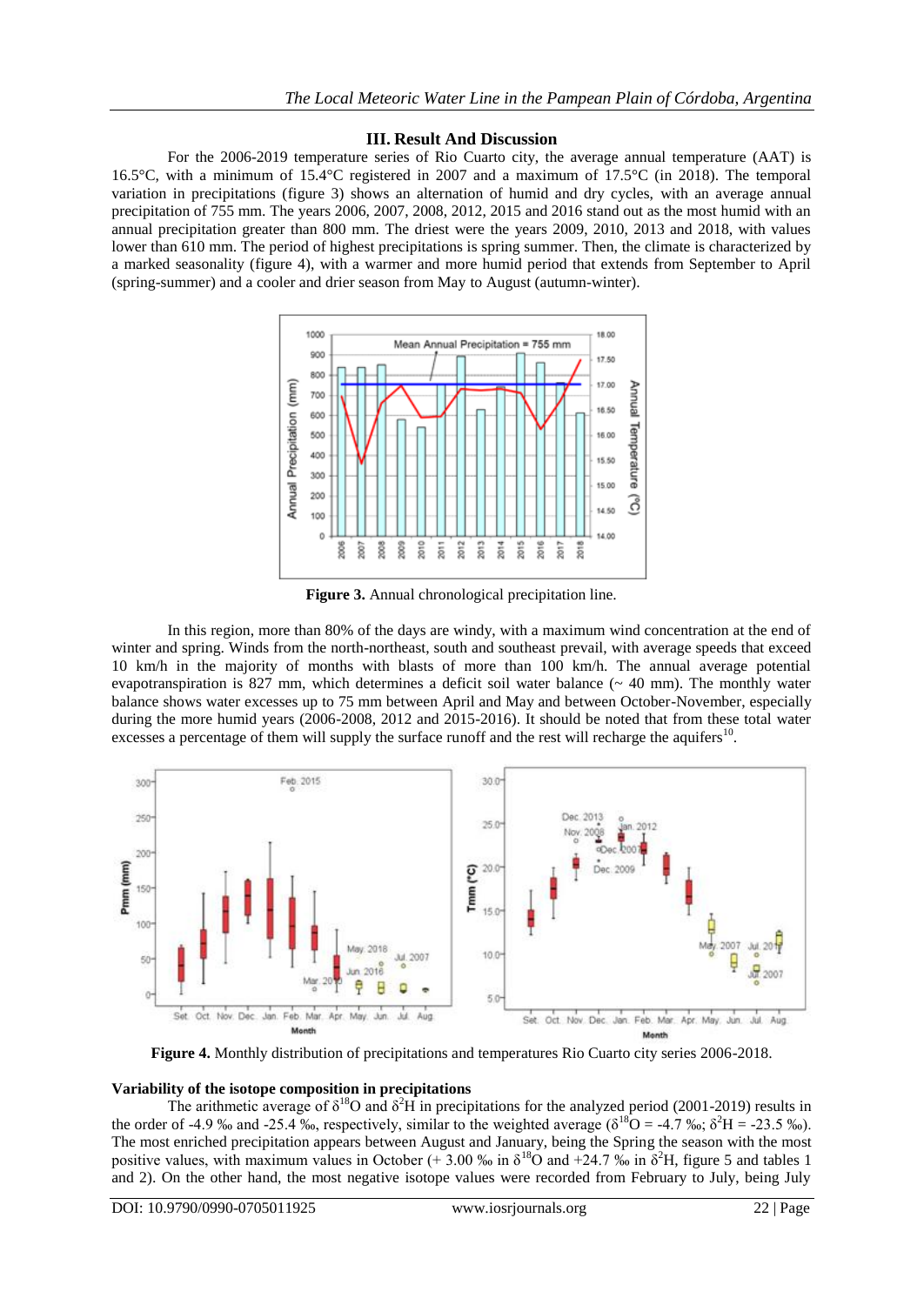## **III. Result And Discussion**

For the 2006-2019 temperature series of Rio Cuarto city, the average annual temperature (AAT) is 16.5°C, with a minimum of 15.4°C registered in 2007 and a maximum of 17.5°C (in 2018). The temporal variation in precipitations (figure 3) shows an alternation of humid and dry cycles, with an average annual precipitation of 755 mm. The years 2006, 2007, 2008, 2012, 2015 and 2016 stand out as the most humid with an annual precipitation greater than 800 mm. The driest were the years 2009, 2010, 2013 and 2018, with values lower than 610 mm. The period of highest precipitations is spring summer. Then, the climate is characterized by a marked seasonality (figure 4), with a warmer and more humid period that extends from September to April (spring-summer) and a cooler and drier season from May to August (autumn-winter).



**Figure 3.** Annual chronological precipitation line.

In this region, more than 80% of the days are windy, with a maximum wind concentration at the end of winter and spring. Winds from the north-northeast, south and southeast prevail, with average speeds that exceed 10 km/h in the majority of months with blasts of more than 100 km/h. The annual average potential evapotranspiration is 827 mm, which determines a deficit soil water balance  $($   $\sim$  40 mm). The monthly water balance shows water excesses up to 75 mm between April and May and between October-November, especially during the more humid years (2006-2008, 2012 and 2015-2016). It should be noted that from these total water excesses a percentage of them will supply the surface runoff and the rest will recharge the aquifers<sup>10</sup>.



**Figure 4.** Monthly distribution of precipitations and temperatures Rio Cuarto city series 2006-2018.

## **Variability of the isotope composition in precipitations**

The arithmetic average of  $\delta^{18}O$  and  $\delta^2H$  in precipitations for the analyzed period (2001-2019) results in the order of -4.9 ‰ and -25.4 ‰, respectively, similar to the weighted average ( $\delta^{18}$ O = -4.7 ‰;  $\delta^2$ H = -23.5 ‰). The most enriched precipitation appears between August and January, being the Spring the season with the most positive values, with maximum values in October (+ 3.00 ‰ in  $\delta^{18}$ O and +24.7 ‰ in  $\delta^2$ H, figure 5 and tables 1 and 2). On the other hand, the most negative isotope values were recorded from February to July, being July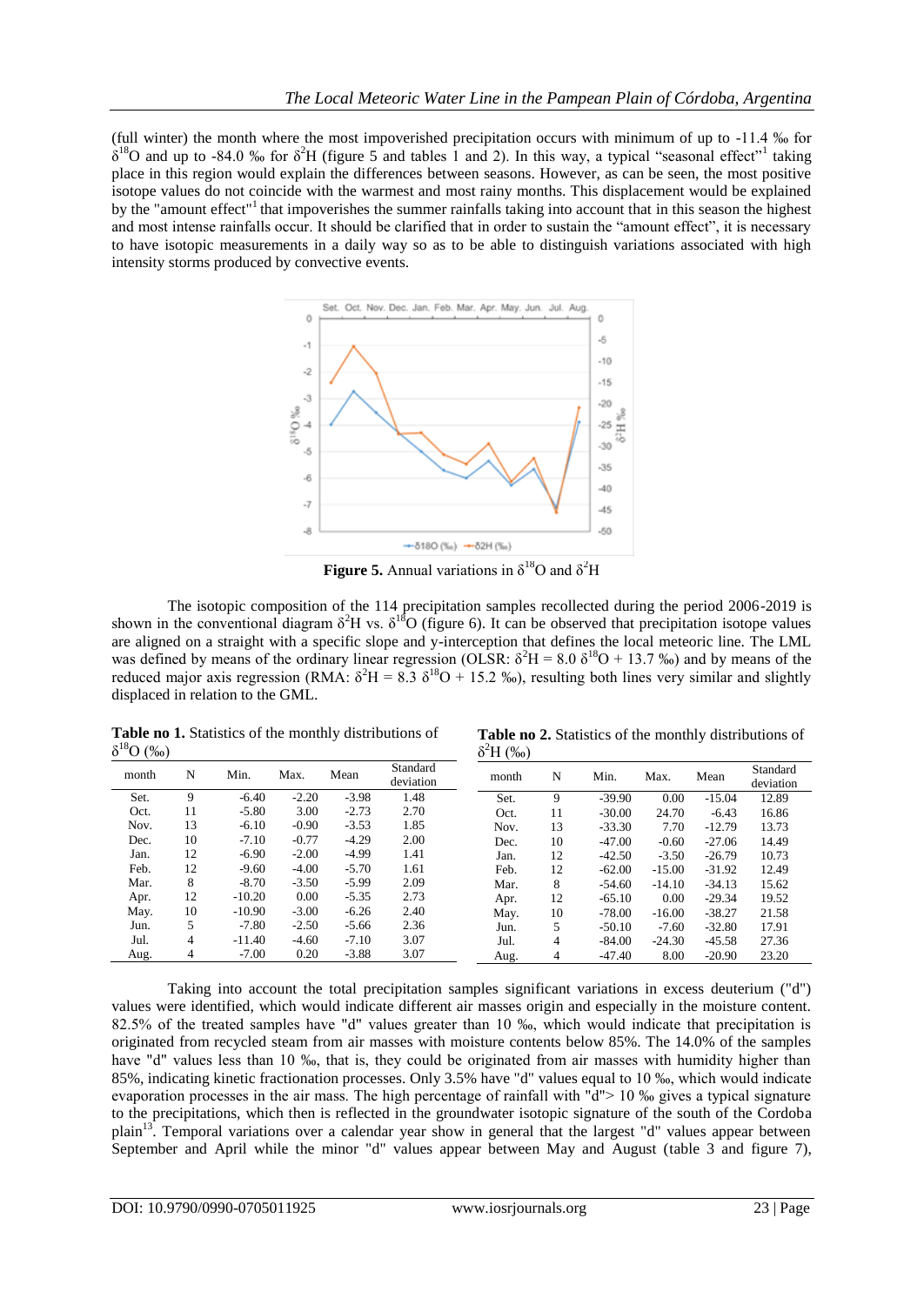(full winter) the month where the most impoverished precipitation occurs with minimum of up to -11.4 ‰ for  $\delta^{18}$ O and up to -84.0 ‰ for  $\delta^2$ H (figure 5 and tables 1 and 2). In this way, a typical "seasonal effect"<sup>1</sup> taking place in this region would explain the differences between seasons. However, as can be seen, the most positive isotope values do not coincide with the warmest and most rainy months. This displacement would be explained by the "amount effect"<sup>1</sup> that impoverishes the summer rainfalls taking into account that in this season the highest and most intense rainfalls occur. It should be clarified that in order to sustain the "amount effect", it is necessary to have isotopic measurements in a daily way so as to be able to distinguish variations associated with high intensity storms produced by convective events.



**Figure 5.** Annual variations in  $\delta^{18}$ O and  $\delta^2$ H

The isotopic composition of the 114 precipitation samples recollected during the period 2006-2019 is shown in the conventional diagram  $\delta^2$ H vs.  $\delta^{18}$ O (figure 6). It can be observed that precipitation isotope values are aligned on a straight with a specific slope and y-interception that defines the local meteoric line. The LML was defined by means of the ordinary linear regression (OLSR:  $\delta^2$ H = 8.0  $\delta^{18}$ O + 13.7 ‰) and by means of the reduced major axis regression (RMA:  $\delta^2 H = 8.3 \delta^{18} O + 15.2 \degree$ ), resulting both lines very similar and slightly displaced in relation to the GML.

**Table no 1.** Statistics of the monthly distributions of  $δ<sup>18</sup>O (‰)$ 

**Table no 2.** Statistics of the monthly distributions of  $δ<sup>2</sup>H (‰)$ 

| month | N  | Min.     | Max.    | Mean    | Standard<br>deviation | month | N  | Min.     | Max.     | Mean     | Standard<br>deviation |
|-------|----|----------|---------|---------|-----------------------|-------|----|----------|----------|----------|-----------------------|
| Set.  | 9  | $-6.40$  | $-2.20$ | $-3.98$ | 1.48                  | Set.  | 9  | $-39.90$ | 0.00     | $-15.04$ | 12.89                 |
| Oct.  | 11 | $-5.80$  | 3.00    | $-2.73$ | 2.70                  | Oct.  | 11 | $-30.00$ | 24.70    | $-6.43$  | 16.86                 |
| Nov.  | 13 | $-6.10$  | $-0.90$ | $-3.53$ | 1.85                  | Nov.  | 13 | $-33.30$ | 7.70     | $-12.79$ | 13.73                 |
| Dec.  | 10 | $-7.10$  | $-0.77$ | $-4.29$ | 2.00                  | Dec.  | 10 | $-47.00$ | $-0.60$  | $-27.06$ | 14.49                 |
| Jan.  | 12 | $-6.90$  | $-2.00$ | $-4.99$ | 1.41                  | Jan.  | 12 | $-42.50$ | $-3.50$  | $-26.79$ | 10.73                 |
| Feb.  | 12 | $-9.60$  | $-4.00$ | $-5.70$ | 1.61                  | Feb.  | 12 | $-62.00$ | $-15.00$ | $-31.92$ | 12.49                 |
| Mar.  | 8  | $-8.70$  | $-3.50$ | $-5.99$ | 2.09                  | Mar.  | 8  | $-54.60$ | $-14.10$ | $-34.13$ | 15.62                 |
| Apr.  | 12 | $-10.20$ | 0.00    | $-5.35$ | 2.73                  | Apr.  | 12 | $-65.10$ | 0.00     | $-29.34$ | 19.52                 |
| May.  | 10 | $-10.90$ | $-3.00$ | $-6.26$ | 2.40                  | May.  | 10 | $-78.00$ | $-16.00$ | $-38.27$ | 21.58                 |
| Jun.  | 5  | $-7.80$  | $-2.50$ | $-5.66$ | 2.36                  | Jun.  | 5  | $-50.10$ | $-7.60$  | $-32.80$ | 17.91                 |
| Jul.  | 4  | $-11.40$ | $-4.60$ | $-7.10$ | 3.07                  | Jul.  | 4  | $-84.00$ | $-24.30$ | $-45.58$ | 27.36                 |
| Aug.  | 4  | $-7.00$  | 0.20    | $-3.88$ | 3.07                  | Aug.  | 4  | $-47.40$ | 8.00     | $-20.90$ | 23.20                 |

Taking into account the total precipitation samples significant variations in excess deuterium ("d") values were identified, which would indicate different air masses origin and especially in the moisture content. 82.5% of the treated samples have "d" values greater than 10 ‰, which would indicate that precipitation is originated from recycled steam from air masses with moisture contents below 85%. The 14.0% of the samples have "d" values less than 10 ‰, that is, they could be originated from air masses with humidity higher than 85%, indicating kinetic fractionation processes. Only 3.5% have "d" values equal to 10 ‰, which would indicate evaporation processes in the air mass. The high percentage of rainfall with "d"> 10 ‰ gives a typical signature to the precipitations, which then is reflected in the groundwater isotopic signature of the south of the Cordoba plain<sup>13</sup>. Temporal variations over a calendar year show in general that the largest "d" values appear between September and April while the minor "d" values appear between May and August (table 3 and figure 7),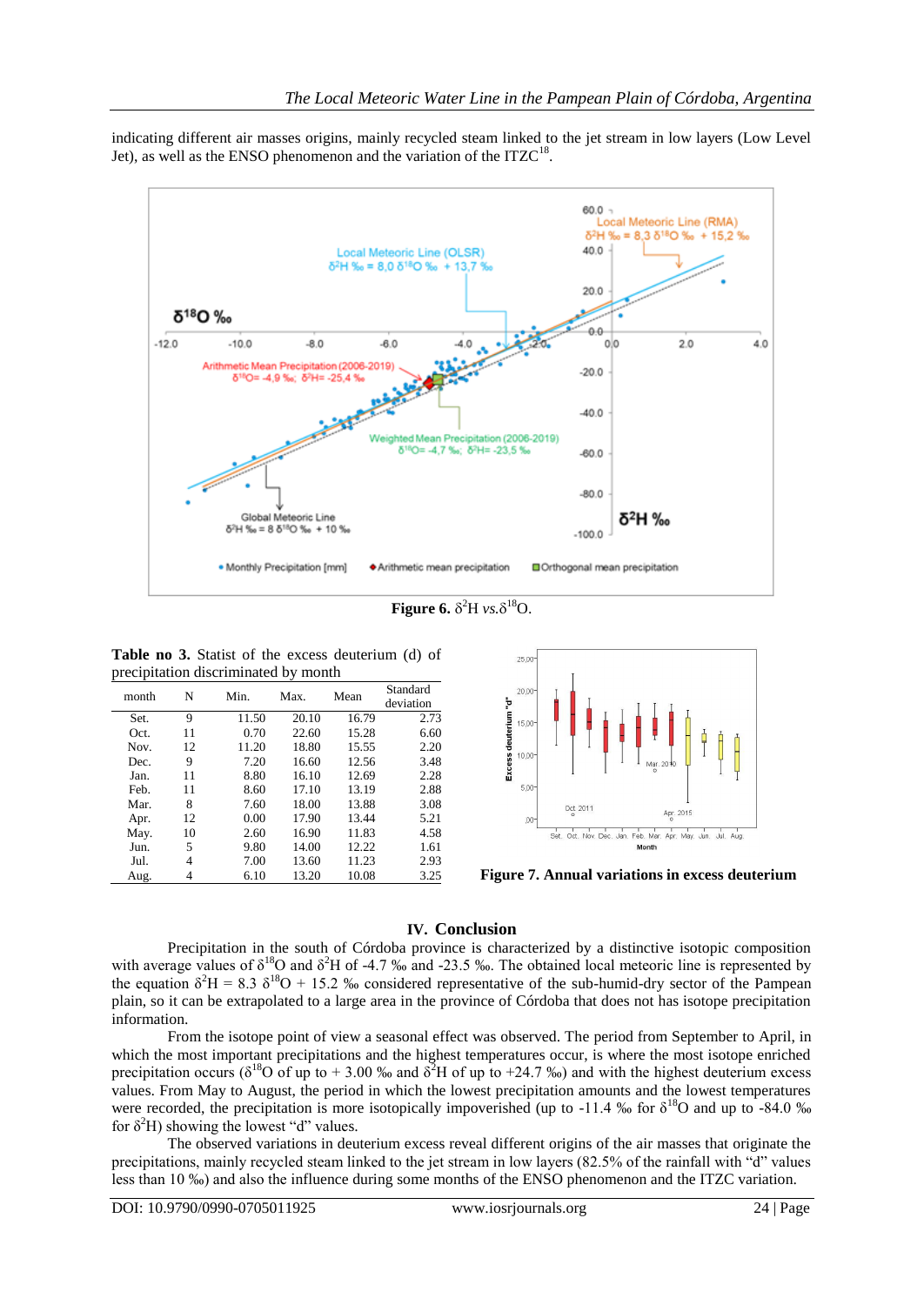indicating different air masses origins, mainly recycled steam linked to the jet stream in low layers (Low Level Jet), as well as the ENSO phenomenon and the variation of the  $ITZC<sup>18</sup>$ .



**Figure 6.**  $\delta^2$ H *vs.*  $\delta^{18}$ O.

**Table no 3.** Statist of the excess deuterium (d) of precipitation discriminated by month

| month | N  | Min.  | Max.  | Mean  | Standard<br>deviation |
|-------|----|-------|-------|-------|-----------------------|
| Set.  | 9  | 11.50 | 20.10 | 16.79 | 2.73                  |
| Oct.  | 11 | 0.70  | 22.60 | 15.28 | 6.60                  |
| Nov.  | 12 | 11.20 | 18.80 | 15.55 | 2.20                  |
| Dec.  | 9  | 7.20  | 16.60 | 12.56 | 3.48                  |
| Jan.  | 11 | 8.80  | 16.10 | 12.69 | 2.28                  |
| Feb.  | 11 | 8.60  | 17.10 | 13.19 | 2.88                  |
| Mar.  | 8  | 7.60  | 18.00 | 13.88 | 3.08                  |
| Apr.  | 12 | 0.00  | 17.90 | 13.44 | 5.21                  |
| May.  | 10 | 2.60  | 16.90 | 11.83 | 4.58                  |
| Jun.  | 5  | 9.80  | 14.00 | 12.22 | 1.61                  |
| Jul.  | 4  | 7.00  | 13.60 | 11.23 | 2.93                  |
| Aug.  | 4  | 6.10  | 13.20 | 10.08 | 3.25                  |



Figure 7. Annual variations in excess deuterium

## **IV. Conclusion**

Precipitation in the south of Córdoba province is characterized by a distinctive isotopic composition with average values of  $\delta^{18}$ O and  $\delta^2$ H of -4.7 ‰ and -23.5 ‰. The obtained local meteoric line is represented by the equation  $\delta^2$ H = 8.3  $\delta^{18}$ O + 15.2 ‰ considered representative of the sub-humid-dry sector of the Pampean plain, so it can be extrapolated to a large area in the province of Córdoba that does not has isotope precipitation information.

From the isotope point of view a seasonal effect was observed. The period from September to April, in which the most important precipitations and the highest temperatures occur, is where the most isotope enriched precipitation occurs ( $\delta^{18}$ O of up to + 3.00 ‰ and  $\delta^2$ H of up to +24.7 ‰) and with the highest deuterium excess values. From May to August, the period in which the lowest precipitation amounts and the lowest temperatures were recorded, the precipitation is more isotopically impoverished (up to -11.4 ‰ for  $\delta^{18}O$  and up to -84.0 ‰ for  $\delta^2$ H) showing the lowest "d" values.

The observed variations in deuterium excess reveal different origins of the air masses that originate the precipitations, mainly recycled steam linked to the jet stream in low layers (82.5% of the rainfall with "d" values less than 10 ‰) and also the influence during some months of the ENSO phenomenon and the ITZC variation.